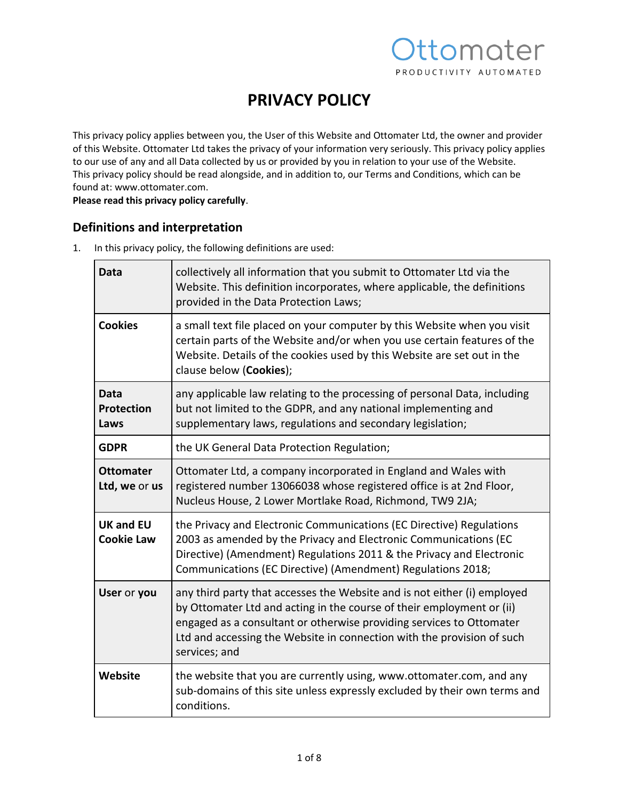# ttomater PRODUCTIVITY AUTOMATED

## **PRIVACY POLICY**

This privacy policy applies between you, the User of this Website and Ottomater Ltd, the owner and provider of this Website. Ottomater Ltd takes the privacy of your information very seriously. This privacy policy applies to our use of any and all Data collected by us or provided by you in relation to your use of the Website. This privacy policy should be read alongside, and in addition to, our Terms and Conditions, which can be found at: www.ottomater.com.

**Please read this privacy policy carefully**.

## **Definitions and interpretation**

1. In this privacy policy, the following definitions are used:

| Data                                  | collectively all information that you submit to Ottomater Ltd via the<br>Website. This definition incorporates, where applicable, the definitions<br>provided in the Data Protection Laws;                                                                                                                           |
|---------------------------------------|----------------------------------------------------------------------------------------------------------------------------------------------------------------------------------------------------------------------------------------------------------------------------------------------------------------------|
| <b>Cookies</b>                        | a small text file placed on your computer by this Website when you visit<br>certain parts of the Website and/or when you use certain features of the<br>Website. Details of the cookies used by this Website are set out in the<br>clause below (Cookies);                                                           |
| Data<br><b>Protection</b><br>Laws     | any applicable law relating to the processing of personal Data, including<br>but not limited to the GDPR, and any national implementing and<br>supplementary laws, regulations and secondary legislation;                                                                                                            |
| <b>GDPR</b>                           | the UK General Data Protection Regulation;                                                                                                                                                                                                                                                                           |
| <b>Ottomater</b><br>Ltd, we or us     | Ottomater Ltd, a company incorporated in England and Wales with<br>registered number 13066038 whose registered office is at 2nd Floor,<br>Nucleus House, 2 Lower Mortlake Road, Richmond, TW9 2JA;                                                                                                                   |
| <b>UK and EU</b><br><b>Cookie Law</b> | the Privacy and Electronic Communications (EC Directive) Regulations<br>2003 as amended by the Privacy and Electronic Communications (EC<br>Directive) (Amendment) Regulations 2011 & the Privacy and Electronic<br>Communications (EC Directive) (Amendment) Regulations 2018;                                      |
| User or you                           | any third party that accesses the Website and is not either (i) employed<br>by Ottomater Ltd and acting in the course of their employment or (ii)<br>engaged as a consultant or otherwise providing services to Ottomater<br>Ltd and accessing the Website in connection with the provision of such<br>services; and |
| Website                               | the website that you are currently using, www.ottomater.com, and any<br>sub-domains of this site unless expressly excluded by their own terms and<br>conditions.                                                                                                                                                     |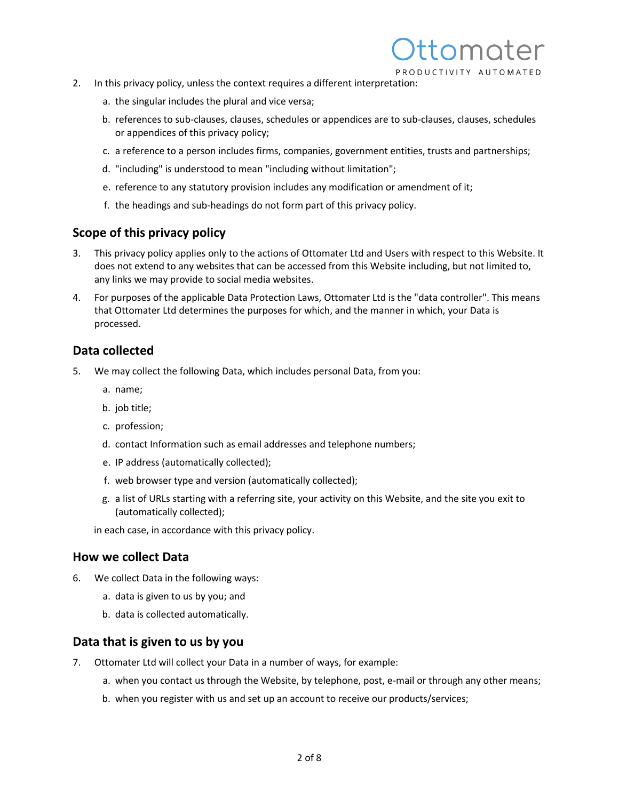

- 2. In this privacy policy, unless the context requires a different interpretation:
	- a. the singular includes the plural and vice versa;
	- b. references to sub-clauses, clauses, schedules or appendices are to sub-clauses, clauses, schedules or appendices of this privacy policy;
	- c. a reference to a person includes firms, companies, government entities, trusts and partnerships;
	- d. "including" is understood to mean "including without limitation";
	- e. reference to any statutory provision includes any modification or amendment of it;
	- f. the headings and sub-headings do not form part of this privacy policy.

### **Scope of this privacy policy**

- 3. This privacy policy applies only to the actions of Ottomater Ltd and Users with respect to this Website. It does not extend to any websites that can be accessed from this Website including, but not limited to, any links we may provide to social media websites.
- 4. For purposes of the applicable Data Protection Laws, Ottomater Ltd is the "data controller". This means that Ottomater Ltd determines the purposes for which, and the manner in which, your Data is processed.

#### **Data collected**

- 5. We may collect the following Data, which includes personal Data, from you:
	- a. name;
	- b. job title;
	- c. profession;
	- d. contact Information such as email addresses and telephone numbers;
	- e. IP address (automatically collected);
	- f. web browser type and version (automatically collected);
	- g. a list of URLs starting with a referring site, your activity on this Website, and the site you exit to (automatically collected);

in each case, in accordance with this privacy policy.

### **How we collect Data**

- 6. We collect Data in the following ways:
	- a. data is given to us by you; and
	- b. data is collected automatically.

#### **Data that is given to us by you**

- 7. Ottomater Ltd will collect your Data in a number of ways, for example:
	- a. when you contact us through the Website, by telephone, post, e-mail or through any other means;
	- b. when you register with us and set up an account to receive our products/services;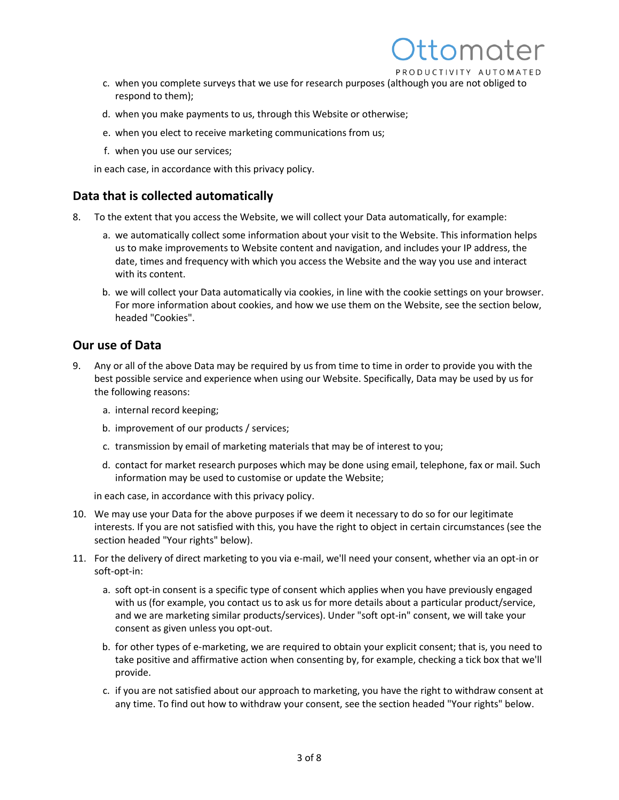

- c. when you complete surveys that we use for research purposes (although you are not obliged to respond to them);
- d. when you make payments to us, through this Website or otherwise;
- e. when you elect to receive marketing communications from us;
- f. when you use our services;

in each case, in accordance with this privacy policy.

### **Data that is collected automatically**

- 8. To the extent that you access the Website, we will collect your Data automatically, for example:
	- a. we automatically collect some information about your visit to the Website. This information helps us to make improvements to Website content and navigation, and includes your IP address, the date, times and frequency with which you access the Website and the way you use and interact with its content.
	- b. we will collect your Data automatically via cookies, in line with the cookie settings on your browser. For more information about cookies, and how we use them on the Website, see the section below, headed "Cookies".

### **Our use of Data**

- 9. Any or all of the above Data may be required by us from time to time in order to provide you with the best possible service and experience when using our Website. Specifically, Data may be used by us for the following reasons:
	- a. internal record keeping;
	- b. improvement of our products / services;
	- c. transmission by email of marketing materials that may be of interest to you;
	- d. contact for market research purposes which may be done using email, telephone, fax or mail. Such information may be used to customise or update the Website;

in each case, in accordance with this privacy policy.

- 10. We may use your Data for the above purposes if we deem it necessary to do so for our legitimate interests. If you are not satisfied with this, you have the right to object in certain circumstances (see the section headed "Your rights" below).
- 11. For the delivery of direct marketing to you via e-mail, we'll need your consent, whether via an opt-in or soft-opt-in:
	- a. soft opt-in consent is a specific type of consent which applies when you have previously engaged with us (for example, you contact us to ask us for more details about a particular product/service, and we are marketing similar products/services). Under "soft opt-in" consent, we will take your consent as given unless you opt-out.
	- b. for other types of e-marketing, we are required to obtain your explicit consent; that is, you need to take positive and affirmative action when consenting by, for example, checking a tick box that we'll provide.
	- c. if you are not satisfied about our approach to marketing, you have the right to withdraw consent at any time. To find out how to withdraw your consent, see the section headed "Your rights" below.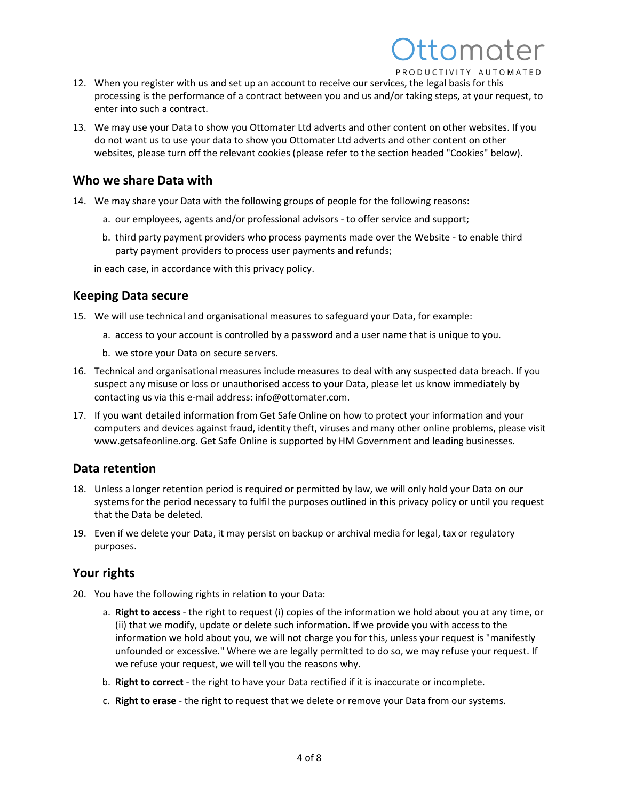# tomoter PRODUCTIVITY AUTOMATED

12. When you register with us and set up an account to receive our services, the legal basis for this processing is the performance of a contract between you and us and/or taking steps, at your request, to enter into such a contract.

13. We may use your Data to show you Ottomater Ltd adverts and other content on other websites. If you do not want us to use your data to show you Ottomater Ltd adverts and other content on other websites, please turn off the relevant cookies (please refer to the section headed "Cookies" below).

## **Who we share Data with**

14. We may share your Data with the following groups of people for the following reasons:

- a. our employees, agents and/or professional advisors to offer service and support;
- b. third party payment providers who process payments made over the Website to enable third party payment providers to process user payments and refunds;

in each case, in accordance with this privacy policy.

## **Keeping Data secure**

- 15. We will use technical and organisational measures to safeguard your Data, for example:
	- a. access to your account is controlled by a password and a user name that is unique to you.
	- b. we store your Data on secure servers.
- 16. Technical and organisational measures include measures to deal with any suspected data breach. If you suspect any misuse or loss or unauthorised access to your Data, please let us know immediately by contacting us via this e-mail address: info@ottomater.com.
- 17. If you want detailed information from Get Safe Online on how to protect your information and your computers and devices against fraud, identity theft, viruses and many other online problems, please visit www.getsafeonline.org. Get Safe Online is supported by HM Government and leading businesses.

## **Data retention**

- 18. Unless a longer retention period is required or permitted by law, we will only hold your Data on our systems for the period necessary to fulfil the purposes outlined in this privacy policy or until you request that the Data be deleted.
- 19. Even if we delete your Data, it may persist on backup or archival media for legal, tax or regulatory purposes.

## **Your rights**

- 20. You have the following rights in relation to your Data:
	- a. **Right to access** the right to request (i) copies of the information we hold about you at any time, or (ii) that we modify, update or delete such information. If we provide you with access to the information we hold about you, we will not charge you for this, unless your request is "manifestly unfounded or excessive." Where we are legally permitted to do so, we may refuse your request. If we refuse your request, we will tell you the reasons why.
	- b. **Right to correct** the right to have your Data rectified if it is inaccurate or incomplete.
	- c. **Right to erase** the right to request that we delete or remove your Data from our systems.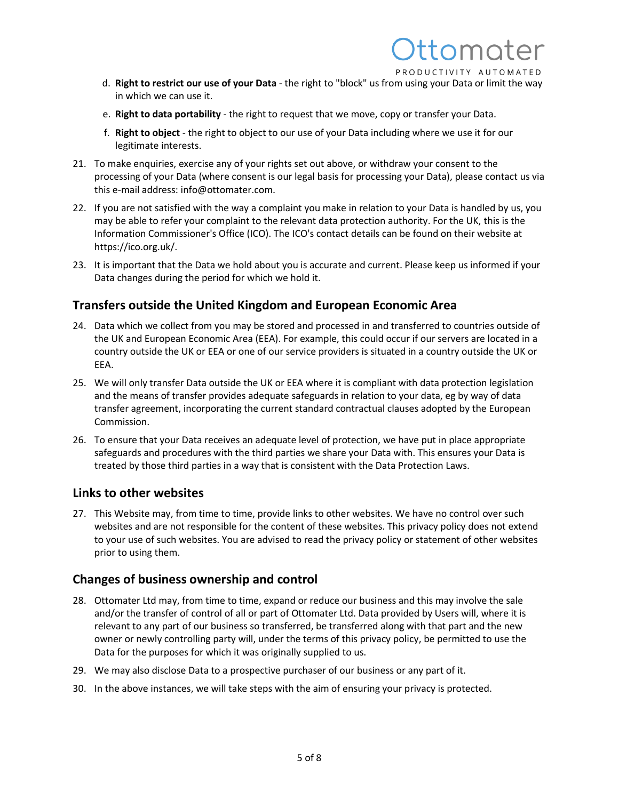

tomoter

- e. **Right to data portability** the right to request that we move, copy or transfer your Data.
- f. **Right to object** the right to object to our use of your Data including where we use it for our legitimate interests.
- 21. To make enquiries, exercise any of your rights set out above, or withdraw your consent to the processing of your Data (where consent is our legal basis for processing your Data), please contact us via this e-mail address: info@ottomater.com.
- 22. If you are not satisfied with the way a complaint you make in relation to your Data is handled by us, you may be able to refer your complaint to the relevant data protection authority. For the UK, this is the Information Commissioner's Office (ICO). The ICO's contact details can be found on their website at https://ico.org.uk/.
- 23. It is important that the Data we hold about you is accurate and current. Please keep us informed if your Data changes during the period for which we hold it.

### **Transfers outside the United Kingdom and European Economic Area**

- 24. Data which we collect from you may be stored and processed in and transferred to countries outside of the UK and European Economic Area (EEA). For example, this could occur if our servers are located in a country outside the UK or EEA or one of our service providers is situated in a country outside the UK or EEA.
- 25. We will only transfer Data outside the UK or EEA where it is compliant with data protection legislation and the means of transfer provides adequate safeguards in relation to your data, eg by way of data transfer agreement, incorporating the current standard contractual clauses adopted by the European Commission.
- 26. To ensure that your Data receives an adequate level of protection, we have put in place appropriate safeguards and procedures with the third parties we share your Data with. This ensures your Data is treated by those third parties in a way that is consistent with the Data Protection Laws.

#### **Links to other websites**

27. This Website may, from time to time, provide links to other websites. We have no control over such websites and are not responsible for the content of these websites. This privacy policy does not extend to your use of such websites. You are advised to read the privacy policy or statement of other websites prior to using them.

#### **Changes of business ownership and control**

- 28. Ottomater Ltd may, from time to time, expand or reduce our business and this may involve the sale and/or the transfer of control of all or part of Ottomater Ltd. Data provided by Users will, where it is relevant to any part of our business so transferred, be transferred along with that part and the new owner or newly controlling party will, under the terms of this privacy policy, be permitted to use the Data for the purposes for which it was originally supplied to us.
- 29. We may also disclose Data to a prospective purchaser of our business or any part of it.
- 30. In the above instances, we will take steps with the aim of ensuring your privacy is protected.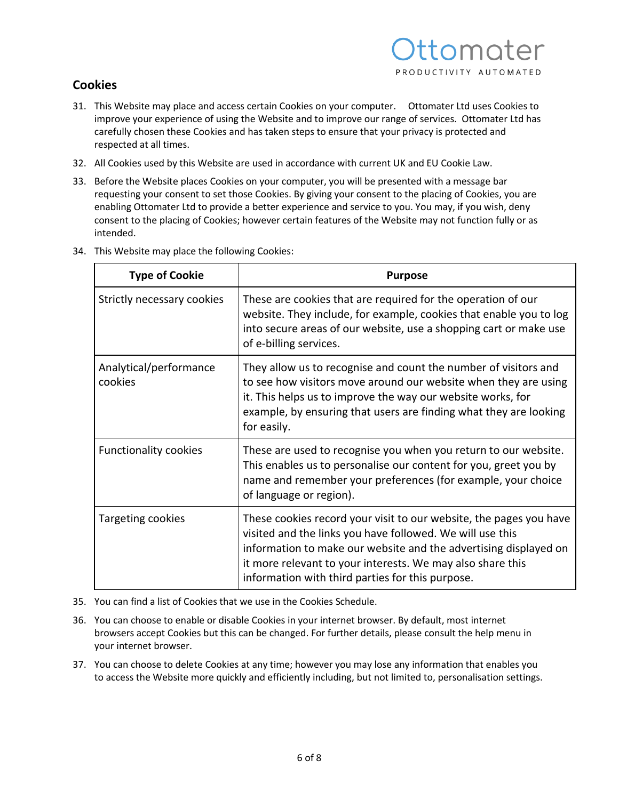## **Cookies**

- 31. This Website may place and access certain Cookies on your computer. Ottomater Ltd uses Cookies to improve your experience of using the Website and to improve our range of services. Ottomater Ltd has carefully chosen these Cookies and has taken steps to ensure that your privacy is protected and respected at all times.
- 32. All Cookies used by this Website are used in accordance with current UK and EU Cookie Law.
- 33. Before the Website places Cookies on your computer, you will be presented with a message bar requesting your consent to set those Cookies. By giving your consent to the placing of Cookies, you are enabling Ottomater Ltd to provide a better experience and service to you. You may, if you wish, deny consent to the placing of Cookies; however certain features of the Website may not function fully or as intended.
- 34. This Website may place the following Cookies:

| <b>Type of Cookie</b>             | <b>Purpose</b>                                                                                                                                                                                                                                                                                                        |
|-----------------------------------|-----------------------------------------------------------------------------------------------------------------------------------------------------------------------------------------------------------------------------------------------------------------------------------------------------------------------|
| Strictly necessary cookies        | These are cookies that are required for the operation of our<br>website. They include, for example, cookies that enable you to log<br>into secure areas of our website, use a shopping cart or make use<br>of e-billing services.                                                                                     |
| Analytical/performance<br>cookies | They allow us to recognise and count the number of visitors and<br>to see how visitors move around our website when they are using<br>it. This helps us to improve the way our website works, for<br>example, by ensuring that users are finding what they are looking<br>for easily.                                 |
| <b>Functionality cookies</b>      | These are used to recognise you when you return to our website.<br>This enables us to personalise our content for you, greet you by<br>name and remember your preferences (for example, your choice<br>of language or region).                                                                                        |
| Targeting cookies                 | These cookies record your visit to our website, the pages you have<br>visited and the links you have followed. We will use this<br>information to make our website and the advertising displayed on<br>it more relevant to your interests. We may also share this<br>information with third parties for this purpose. |

- 35. You can find a list of Cookies that we use in the Cookies Schedule.
- 36. You can choose to enable or disable Cookies in your internet browser. By default, most internet browsers accept Cookies but this can be changed. For further details, please consult the help menu in your internet browser.
- 37. You can choose to delete Cookies at any time; however you may lose any information that enables you to access the Website more quickly and efficiently including, but not limited to, personalisation settings.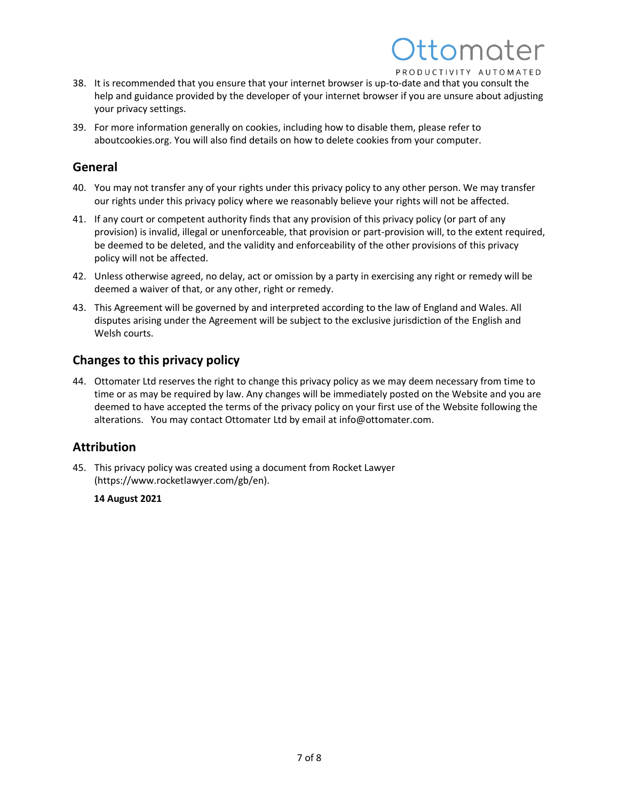# tomoter PRODUCTIVITY AUTOMATED

- 38. It is recommended that you ensure that your internet browser is up-to-date and that you consult the help and guidance provided by the developer of your internet browser if you are unsure about adjusting your privacy settings.
- 39. For more information generally on cookies, including how to disable them, please refer to aboutcookies.org. You will also find details on how to delete cookies from your computer.

## **General**

- 40. You may not transfer any of your rights under this privacy policy to any other person. We may transfer our rights under this privacy policy where we reasonably believe your rights will not be affected.
- 41. If any court or competent authority finds that any provision of this privacy policy (or part of any provision) is invalid, illegal or unenforceable, that provision or part-provision will, to the extent required, be deemed to be deleted, and the validity and enforceability of the other provisions of this privacy policy will not be affected.
- 42. Unless otherwise agreed, no delay, act or omission by a party in exercising any right or remedy will be deemed a waiver of that, or any other, right or remedy.
- 43. This Agreement will be governed by and interpreted according to the law of England and Wales. All disputes arising under the Agreement will be subject to the exclusive jurisdiction of the English and Welsh courts.

## **Changes to this privacy policy**

44. Ottomater Ltd reserves the right to change this privacy policy as we may deem necessary from time to time or as may be required by law. Any changes will be immediately posted on the Website and you are deemed to have accepted the terms of the privacy policy on your first use of the Website following the alterations. You may contact Ottomater Ltd by email at info@ottomater.com.

## **Attribution**

45. This privacy policy was created using a document from Rocket Lawyer (https://www.rocketlawyer.com/gb/en).

### **14 August 2021**